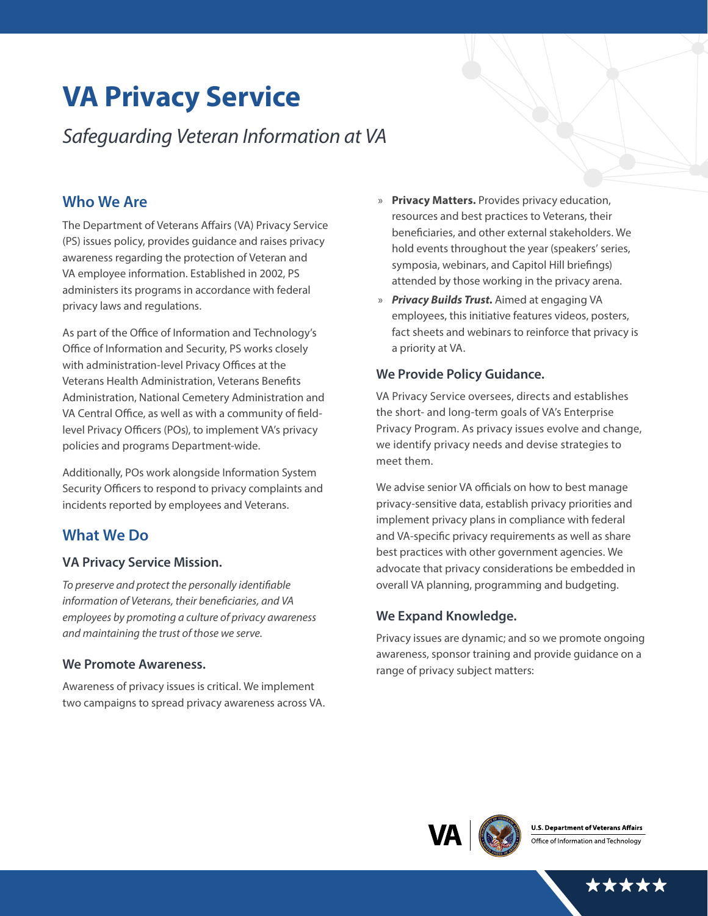# **VA Privacy Service**

*Safeguarding Veteran Information at VA*

## **Who We Are**

The Department of Veterans Affairs (VA) Privacy Service (PS) issues policy, provides guidance and raises privacy awareness regarding the protection of Veteran and VA employee information. Established in 2002, PS administers its programs in accordance with federal privacy laws and regulations.

As part of the Office of Information and Technology's Office of Information and Security, PS works closely with administration-level Privacy Offices at the Veterans Health Administration, Veterans Benefits Administration, National Cemetery Administration and VA Central Office, as well as with a community of fieldlevel Privacy Officers (POs), to implement VA's privacy policies and programs Department-wide.

Additionally, POs work alongside Information System Security Officers to respond to privacy complaints and incidents reported by employees and Veterans.

# **What We Do**

### **VA Privacy Service Mission.**

*To preserve and protect the personally identifiable information of Veterans, their beneficiaries, and VA employees by promoting a culture of privacy awareness and maintaining the trust of those we serve.* 

#### **We Promote Awareness.**

Awareness of privacy issues is critical. We implement two campaigns to spread privacy awareness across VA.

- » **Privacy Matters.** Provides privacy education, resources and best practices to Veterans, their beneficiaries, and other external stakeholders. We hold events throughout the year (speakers' series, symposia, webinars, and Capitol Hill briefings) attended by those working in the privacy arena.
- » *Privacy Builds Trust.* Aimed at engaging VA employees, this initiative features videos, posters, fact sheets and webinars to reinforce that privacy is a priority at VA.

## **We Provide Policy Guidance.**

VA Privacy Service oversees, directs and establishes the short- and long-term goals of VA's Enterprise Privacy Program. As privacy issues evolve and change, we identify privacy needs and devise strategies to meet them.

We advise senior VA officials on how to best manage privacy-sensitive data, establish privacy priorities and implement privacy plans in compliance with federal and VA-specific privacy requirements as well as share best practices with other government agencies. We advocate that privacy considerations be embedded in overall VA planning, programming and budgeting.

## **We Expand Knowledge.**

Privacy issues are dynamic; and so we promote ongoing awareness, sponsor training and provide guidance on a range of privacy subject matters: